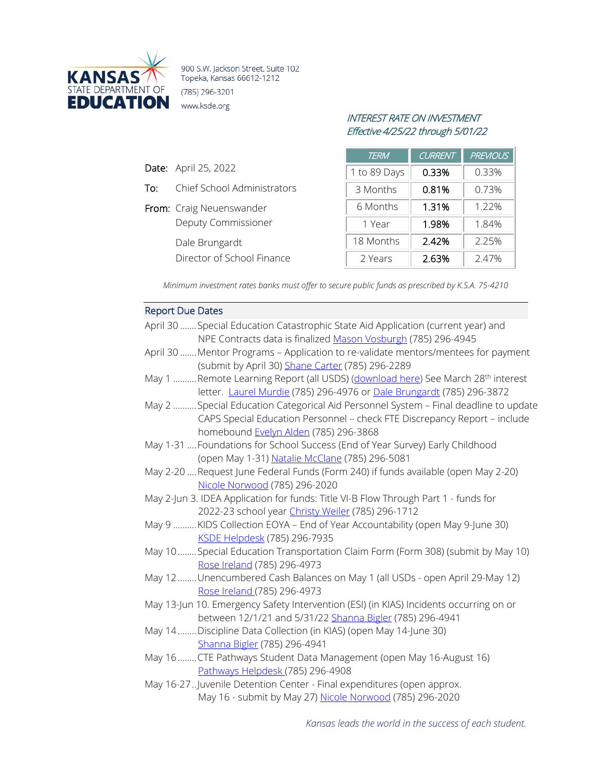

900 S.W. Jackson Street, Suite 102 Topeka, Kansas 66612-1212 (785) 296-3201 www.ksde.org

Date: April 25, 2022

To: Chief School Administrators

Deputy Commissioner

Director of School Finance

From: Craig Neuenswander

Dale Brungardt

# INTEREST RATE ON INVESTMENT Effective 4/25/22 through 5/01/22

| <i>TERM</i>  | <b>CURRENT</b> | <b>PREVIOUS</b> |
|--------------|----------------|-----------------|
| 1 to 89 Days | 0.33%          | 0.33%           |
| 3 Months     | 0.81%          | 0.73%           |
| 6 Months     | 1.31%          | 1.22%           |
| 1 Year       | 1.98%          | 1.84%           |
| 18 Months    | 2.42%          | 2.25%           |
| 2 Years      | 2.63%          | 2.47%           |

*Minimum investment rates banks must offer to secure public funds as prescribed by K.S.A. 75-4210*

## Report Due Dates April 30 .......Special Education Catastrophic State Aid Application (current year) and NPE Contracts data is finalize[d Mason Vosburgh](mailto:mvosburgh@ksde.org) (785) 296-4945 April 30 .......Mentor Programs – Application to re-validate mentors/mentees for payment (submit by April 30) [Shane Carter](mailto:scarter@ksde.org) (785) 296-2289 May 1 ..........Remote Learning Report (all USDS) [\(download here\)](https://www.ksde.org/LinkClick.aspx?fileticket=v15G1CcHu-c%3d&tabid=319&portalid=0&mid=842) See March 28<sup>th</sup> interest letter. [Laurel Murdie](mailto:lmurdie@ksde.org) (785) 296-4976 or [Dale Brungardt](mailto:dbrungardt@ksde.org) (785) 296-3872 May 2 ..........Special Education Categorical Aid Personnel System – Final deadline to update CAPS Special Education Personnel – check FTE Discrepancy Report – include homebound [Evelyn Alden](mailto:ealden@ksde.org) (785) 296-3868 May 1-31 ....Foundations for School Success (End of Year Survey) Early Childhood (open May 1-31) [Natalie McClane](mailto:NMcClane@ksde.org) (785) 296-5081 May 2-20 ....Request June Federal Funds (Form 240) if funds available (open May 2-20) [Nicole Norwood](mailto:nnorwood@ksde.org) (785) 296-2020 May 2-Jun 3. IDEA Application for funds: Title VI-B Flow Through Part 1 - funds for 2022-23 school year [Christy Weiler](mailto:CWeiler@ksde.org) (785) 296-1712 May 9 ..........KIDS Collection EOYA – End of Year Accountability (open May 9-June 30) [KSDE Helpdesk](mailto:helpdesk@ksde.org) (785) 296-7935 May 10........Special Education Transportation Claim Form (Form 308) (submit by May 10) [Rose Ireland](mailto:rireland@ksde.org) (785) 296-4973 May 12........Unencumbered Cash Balances on May 1 (all USDs - open April 29-May 12) [Rose Ireland \(](mailto:rireland@ksde.org)785) 296-4973 May 13-Jun 10. Emergency Safety Intervention (ESI) (in KIAS) Incidents occurring on or between 12/1/21 and 5/31/22 [Shanna Bigler](mailto:SBigler@ksde.org) (785) 296-4941 May 14........Discipline Data Collection (in KIAS) (open May 14-June 30) [Shanna Bigler](mailto:SBigler@ksde.org) (785) 296-4941 May 16........CTE Pathways Student Data Management (open May 16-August 16) [Pathways Helpdesk \(](mailto:PathwaysHelpDesk@ksde.org)785) 296-4908 May 16-27..Juvenile Detention Center - Final expenditures (open approx. May 16 - submit by May 27) [Nicole Norwood](mailto:nnorwood@ksde.org) (785) 296-2020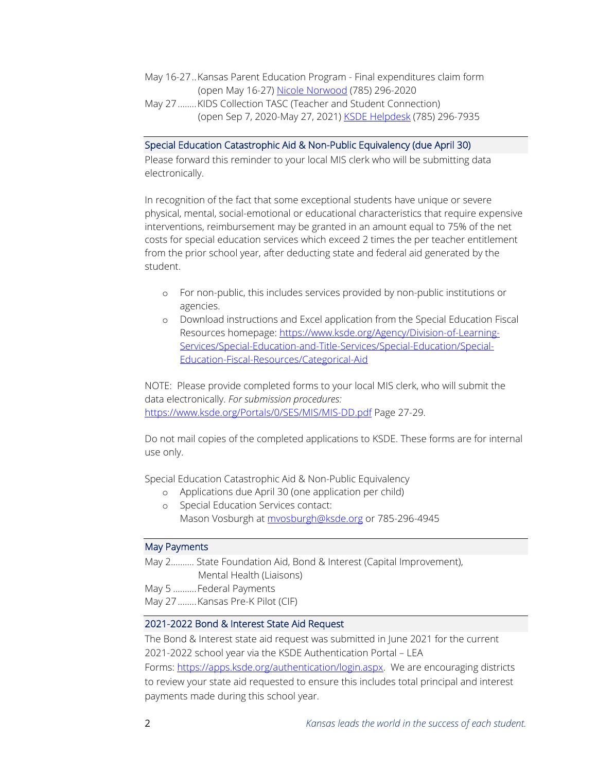- May 16-27..Kansas Parent Education Program Final expenditures claim form (open May 16-27) [Nicole Norwood](mailto:nnorwood@ksde.org) (785) 296-2020
- May 27........KIDS Collection TASC (Teacher and Student Connection) (open Sep 7, 2020-May 27, 2021) [KSDE Helpdesk](mailto:helpdesk@ksde.org) (785) 296-7935

### Special Education Catastrophic Aid & Non-Public Equivalency (due April 30)

Please forward this reminder to your local MIS clerk who will be submitting data electronically.

In recognition of the fact that some exceptional students have unique or severe physical, mental, social-emotional or educational characteristics that require expensive interventions, reimbursement may be granted in an amount equal to 75% of the net costs for special education services which exceed 2 times the per teacher entitlement from the prior school year, after deducting state and federal aid generated by the student.

- o For non-public, this includes services provided by non-public institutions or agencies.
- o Download instructions and Excel application from the Special Education Fiscal Resources homepage: [https://www.ksde.org/Agency/Division-of-Learning-](https://www.ksde.org/Agency/Division-of-Learning-Services/Special-Education-and-Title-Services/Special-Education/Special-Education-Fiscal-Resources/Categorical-Aid)[Services/Special-Education-and-Title-Services/Special-Education/Special-](https://www.ksde.org/Agency/Division-of-Learning-Services/Special-Education-and-Title-Services/Special-Education/Special-Education-Fiscal-Resources/Categorical-Aid)[Education-Fiscal-Resources/Categorical-Aid](https://www.ksde.org/Agency/Division-of-Learning-Services/Special-Education-and-Title-Services/Special-Education/Special-Education-Fiscal-Resources/Categorical-Aid)

NOTE: Please provide completed forms to your local MIS clerk, who will submit the data electronically. *For submission procedures:*  <https://www.ksde.org/Portals/0/SES/MIS/MIS-DD.pdf> Page 27-29.

Do not mail copies of the completed applications to KSDE. These forms are for internal use only.

Special Education Catastrophic Aid & Non-Public Equivalency

- o Applications due April 30 (one application per child)
- o Special Education Services contact: Mason Vosburgh at myosburgh@ksde.org or 785-296-4945

### May Payments

May 2…….… State Foundation Aid, Bond & Interest (Capital Improvement), Mental Health (Liaisons)

May 5 .......... Federal Payments

May 27........Kansas Pre-K Pilot (CIF)

#### 2021-2022 Bond & Interest State Aid Request

The Bond & Interest state aid request was submitted in June 2021 for the current 2021-2022 school year via the KSDE Authentication Portal – LEA

Forms: [https://apps.ksde.org/authentication/login.aspx.](https://apps.ksde.org/authentication/login.aspx) We are encouraging districts to review your state aid requested to ensure this includes total principal and interest payments made during this school year.